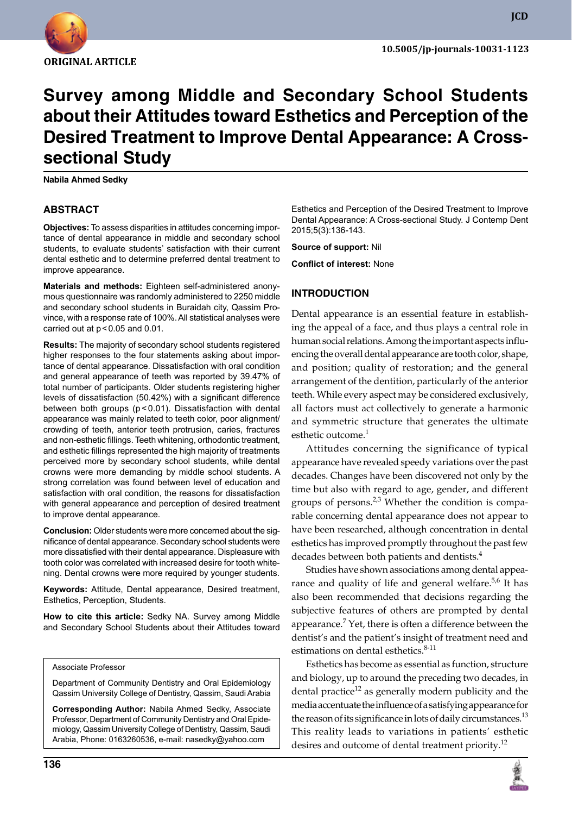

# **Survey among Middle and Secondary School Students about their Attitudes toward Esthetics and Perception of the Desired Treatment to Improve Dental Appearance: A Crosssectional Study**

**Nabila Ahmed Sedky**

## **ABSTRACT**

**Objectives:** To assess disparities in attitudes concerning importance of dental appearance in middle and secondary school students, to evaluate students' satisfaction with their current dental esthetic and to determine preferred dental treatment to improve appearance.

**Materials and methods:** Eighteen self-administered anonymous questionnaire was randomly administered to 2250 middle and secondary school students in Buraidah city, Qassim Province, with a response rate of 100%. All statistical analyses were carried out at  $p < 0.05$  and  $0.01$ .

**Results:** The majority of secondary school students registered higher responses to the four statements asking about importance of dental appearance. Dissatisfaction with oral condition and general appearance of teeth was reported by 39.47% of total number of participants. Older students registering higher levels of dissatisfaction (50.42%) with a significant difference between both groups (p < 0.01). Dissatisfaction with dental appearance was mainly related to teeth color, poor alignment/ crowding of teeth, anterior teeth protrusion, caries, fractures and non-esthetic fillings. Teeth whitening, orthodontic treatment, and esthetic fillings represented the high majority of treatments perceived more by secondary school students, while dental crowns were more demanding by middle school students. A strong correlation was found between level of education and satisfaction with oral condition, the reasons for dissatisfaction with general appearance and perception of desired treatment to improve dental appearance.

**Conclusion:** Older students were more concerned about the significance of dental appearance. Secondary school students were more dissatisfied with their dental appearance. Displeasure with tooth color was correlated with increased desire for tooth whitening. Dental crowns were more required by younger students.

**Keywords:** Attitude, Dental appearance, Desired treatment, Esthetics, Perception, Students.

**How to cite this article:** Sedky NA. Survey among Middle and Secondary School Students about their Attitudes toward

#### Associate Professor

Department of Community Dentistry and Oral Epidemiology Qassim University College of Dentistry, Qassim, Saudi Arabia

**Corresponding Author:** Nabila Ahmed Sedky, Associate Professor, Department of Community Dentistry and Oral Epidemiology, Qassim University College of Dentistry, Qassim, Saudi Arabia, Phone: 0163260536, e-mail: nasedky@yahoo.com

Esthetics and Perception of the Desired Treatment to Improve Dental Appearance: A Cross-sectional Study. J Contemp Dent 2015;5(3):136-143.

**Source of support:** Nil

**Conflict of interest:** None

#### **Introduction**

Dental appearance is an essential feature in establishing the appeal of a face, and thus plays a central role in human social relations. Among the important aspects influencing the overall dental appearance are tooth color, shape, and position; quality of restoration; and the general arrangement of the dentition, particularly of the anterior teeth. While every aspect may be considered exclusively, all factors must act collectively to generate a harmonic and symmetric structure that generates the ultimate esthetic outcome.<sup>1</sup>

Attitudes concerning the significance of typical appearance have revealed speedy variations over the past decades. Changes have been discovered not only by the time but also with regard to age, gender, and different groups of persons. $2,3$  Whether the condition is comparable concerning dental appearance does not appear to have been researched, although concentration in dental esthetics has improved promptly throughout the past few decades between both patients and dentists.<sup>4</sup>

Studies have shown associations among dental appearance and quality of life and general welfare.<sup>5,6</sup> It has also been recommended that decisions regarding the subjective features of others are prompted by dental appearance.<sup>7</sup> Yet, there is often a difference between the dentist's and the patient's insight of treatment need and estimations on dental esthetics.<sup>8-11</sup>

Esthetics has become as essential as function, structure and biology, up to around the preceding two decades, in dental practice<sup>12</sup> as generally modern publicity and the media accentuate the influence of a satisfying appearance for the reason of its significance in lots of daily circumstances.<sup>13</sup> This reality leads to variations in patients' esthetic desires and outcome of dental treatment priority.<sup>12</sup>

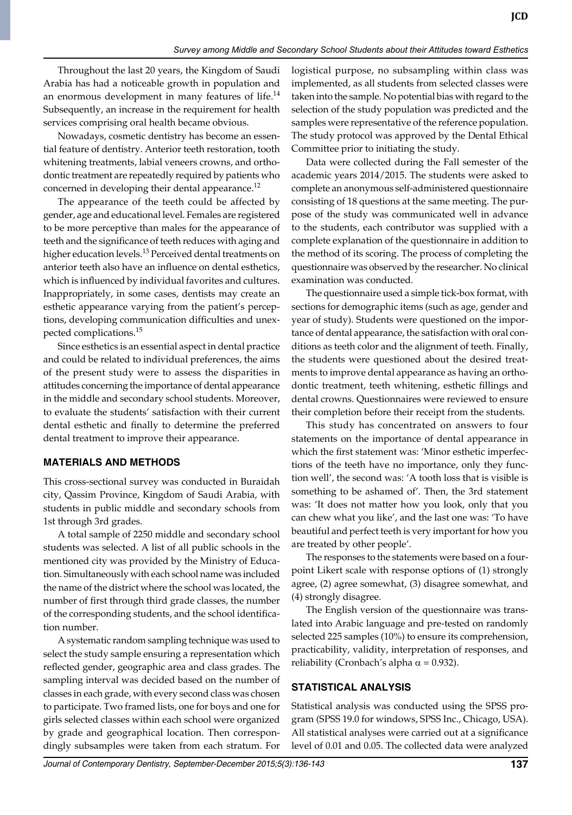Throughout the last 20 years, the Kingdom of Saudi Arabia has had a noticeable growth in population and an enormous development in many features of life. $^{14}$ Subsequently, an increase in the requirement for health services comprising oral health became obvious.

Nowadays, cosmetic dentistry has become an essential feature of dentistry. Anterior teeth restoration, tooth whitening treatments, labial veneers crowns, and orthodontic treatment are repeatedly required by patients who concerned in developing their dental appearance.<sup>12</sup>

The appearance of the teeth could be affected by gender, age and educational level. Females are registered to be more perceptive than males for the appearance of teeth and the significance of teeth reduces with aging and higher education levels.<sup>13</sup> Perceived dental treatments on anterior teeth also have an influence on dental esthetics, which is influenced by individual favorites and cultures. Inappropriately, in some cases, dentists may create an esthetic appearance varying from the patient's perceptions, developing communication difficulties and unexpected complications.15

Since esthetics is an essential aspect in dental practice and could be related to individual preferences, the aims of the present study were to assess the disparities in attitudes concerning the importance of dental appearance in the middle and secondary school students. Moreover, to evaluate the students' satisfaction with their current dental esthetic and finally to determine the preferred dental treatment to improve their appearance.

### **Materials and Methods**

This cross-sectional survey was conducted in Buraidah city, Qassim Province, Kingdom of Saudi Arabia, with students in public middle and secondary schools from 1st through 3rd grades.

A total sample of 2250 middle and secondary school students was selected. A list of all public schools in the mentioned city was provided by the Ministry of Education. Simultaneously with each school name was included the name of the district where the school was located, the number of first through third grade classes, the number of the corresponding students, and the school identification number.

A systematic random sampling technique was used to select the study sample ensuring a representation which reflected gender, geographic area and class grades. The sampling interval was decided based on the number of classes in each grade, with every second class was chosen to participate. Two framed lists, one for boys and one for girls selected classes within each school were organized by grade and geographical location. Then correspondingly subsamples were taken from each stratum. For

logistical purpose, no subsampling within class was implemented, as all students from selected classes were taken into the sample. No potential bias with regard to the selection of the study population was predicted and the samples were representative of the reference population. The study protocol was approved by the Dental Ethical Committee prior to initiating the study.

Data were collected during the Fall semester of the academic years 2014/2015. The students were asked to complete an anonymous self-administered questionnaire consisting of 18 questions at the same meeting. The purpose of the study was communicated well in advance to the students, each contributor was supplied with a complete explanation of the questionnaire in addition to the method of its scoring. The process of completing the questionnaire was observed by the researcher. No clinical examination was conducted.

The questionnaire used a simple tick-box format, with sections for demographic items (such as age, gender and year of study). Students were questioned on the importance of dental appearance, the satisfaction with oral conditions as teeth color and the alignment of teeth. Finally, the students were questioned about the desired treatments to improve dental appearance as having an orthodontic treatment, teeth whitening, esthetic fillings and dental crowns. Questionnaires were reviewed to ensure their completion before their receipt from the students.

This study has concentrated on answers to four statements on the importance of dental appearance in which the first statement was: 'Minor esthetic imperfections of the teeth have no importance, only they function well', the second was: 'A tooth loss that is visible is something to be ashamed of'. Then, the 3rd statement was: 'It does not matter how you look, only that you can chew what you like', and the last one was: 'To have beautiful and perfect teeth is very important for how you are treated by other people'.

The responses to the statements were based on a fourpoint Likert scale with response options of (1) strongly agree, (2) agree somewhat, (3) disagree somewhat, and (4) strongly disagree.

The English version of the questionnaire was translated into Arabic language and pre-tested on randomly selected 225 samples (10%) to ensure its comprehension, practicability, validity, interpretation of responses, and reliability (Cronbach's alpha  $\alpha$  = 0.932).

# **Statistical analysis**

Statistical analysis was conducted using the SPSS program (SPSS 19.0 for windows, SPSS Inc., Chicago, USA). All statistical analyses were carried out at a significance level of 0.01 and 0.05. The collected data were analyzed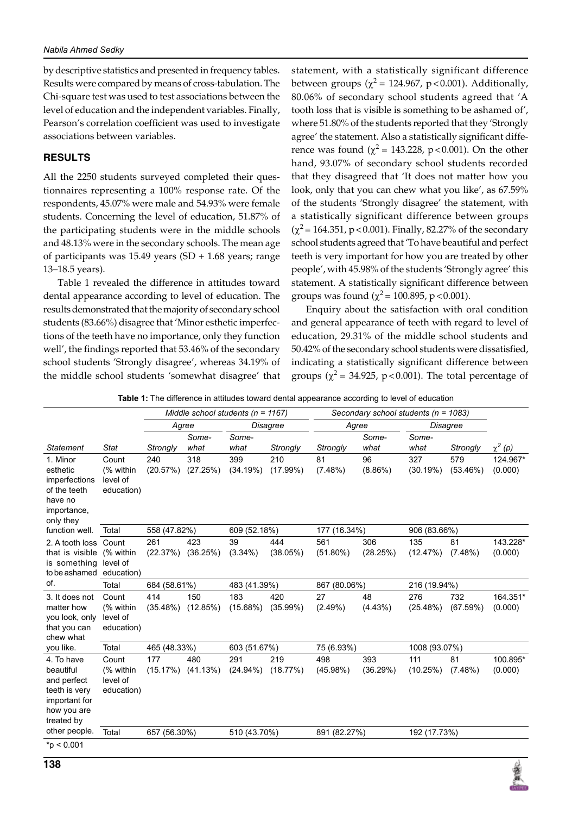by descriptive statistics and presented in frequency tables. Results were compared by means of cross-tabulation. The Chi-square test was used to test associations between the level of education and the independent variables. Finally, Pearson's correlation coefficient was used to investigate associations between variables.

#### **Results**

All the 2250 students surveyed completed their questionnaires representing a 100% response rate. Of the respondents, 45.07% were male and 54.93% were female students. Concerning the level of education, 51.87% of the participating students were in the middle schools and 48.13% were in the secondary schools. The mean age of participants was 15.49 years (SD + 1.68 years; range 13–18.5 years).

Table 1 revealed the difference in attitudes toward dental appearance according to level of education. The results demonstrated that the majority of secondary school students (83.66%) disagree that 'Minor esthetic imperfections of the teeth have no importance, only they function well', the findings reported that 53.46% of the secondary school students 'Strongly disagree', whereas 34.19% of the middle school students 'somewhat disagree' that statement, with a statistically significant difference between groups ( $\chi^2$  = 124.967, p < 0.001). Additionally, 80.06% of secondary school students agreed that 'A tooth loss that is visible is something to be ashamed of', where 51.80% of the students reported that they 'Strongly agree' the statement. Also a statistically significant difference was found ( $\chi^2$  = 143.228, p < 0.001). On the other hand, 93.07% of secondary school students recorded that they disagreed that 'It does not matter how you look, only that you can chew what you like', as 67.59% of the students 'Strongly disagree' the statement, with a statistically significant difference between groups  $(\chi^2 = 164.351, p < 0.001)$ . Finally, 82.27% of the secondary school students agreed that 'To have beautiful and perfect teeth is very important for how you are treated by other people', with 45.98% of the students 'Strongly agree' this statement. A statistically significant difference between groups was found ( $\chi^2$  = 100.895, p < 0.001).

Enquiry about the satisfaction with oral condition and general appearance of teeth with regard to level of education, 29.31% of the middle school students and 50.42% of the secondary school students were dissatisfied, indicating a statistically significant difference between groups ( $\chi^2$  = 34.925, p<0.001). The total percentage of

**Table 1:** The difference in attitudes toward dental appearance according to level of education

|                                                                                                       |                                              |                 |                 | Middle school students ( $n = 1167$ ) |                 |                    | Secondary school students (n = 1083) |                 |                    |                     |
|-------------------------------------------------------------------------------------------------------|----------------------------------------------|-----------------|-----------------|---------------------------------------|-----------------|--------------------|--------------------------------------|-----------------|--------------------|---------------------|
|                                                                                                       |                                              | Agree           |                 | <b>Disagree</b>                       |                 | Agree              |                                      | Disagree        |                    |                     |
| <b>Statement</b>                                                                                      | Stat                                         | Strongly        | Some-<br>what   | Some-<br>what                         | Strongly        | Strongly           | Some-<br>what                        | Some-<br>what   | Strongly           | $\chi^2(p)$         |
| 1. Minor<br>esthetic<br>imperfections<br>of the teeth<br>have no<br>importance,<br>only they          | Count<br>(% within<br>level of<br>education) | 240<br>(20.57%) | 318<br>(27.25%) | 399<br>(34.19%)                       | 210<br>(17.99%) | 81<br>$(7.48\%)$   | 96<br>$(8.86\%)$                     | 327<br>(30.19%) | 579<br>$(53.46\%)$ | 124.967*<br>(0.000) |
| function well.                                                                                        | Total                                        | 558 (47.82%)    |                 | 609 (52.18%)                          |                 | 177 (16.34%)       |                                      | 906 (83.66%)    |                    |                     |
| 2. A tooth loss<br>that is visible<br>is something<br>to be ashamed<br>of.                            | Count<br>(% within<br>level of<br>education) | 261<br>(22.37%) | 423<br>(36.25%) | 39<br>$(3.34\%)$                      | 444<br>(38.05%) | 561<br>$(51.80\%)$ | 306<br>(28.25%)                      | 135<br>(12.47%) | 81<br>(7.48%)      | 143.228*<br>(0.000) |
|                                                                                                       | Total                                        | 684 (58.61%)    |                 | 483 (41.39%)                          |                 | 867 (80.06%)       |                                      | 216 (19.94%)    |                    |                     |
| 3. It does not<br>matter how<br>you look, only<br>that you can<br>chew what                           | Count<br>(% within<br>level of<br>education) | 414<br>(35.48%) | 150<br>(12.85%) | 183<br>(15.68%)                       | 420<br>(35.99%) | 27<br>(2.49%)      | 48<br>(4.43%)                        | 276<br>(25.48%) | 732<br>(67.59%)    | 164.351*<br>(0.000) |
| you like.                                                                                             | Total                                        | 465 (48.33%)    |                 | 603 (51.67%)                          |                 | 75 (6.93%)         |                                      | 1008 (93.07%)   |                    |                     |
| 4. To have<br>beautiful<br>and perfect<br>teeth is very<br>important for<br>how you are<br>treated by | Count<br>(% within<br>level of<br>education) | 177<br>(15.17%) | 480<br>(41.13%) | 291<br>$(24.94\%)$                    | 219<br>(18.77%) | 498<br>(45.98%)    | 393<br>(36.29%)                      | 111<br>(10.25%) | 81<br>(7.48%)      | 100.895*<br>(0.000) |
| other people.                                                                                         | Total                                        | 657 (56.30%)    |                 | 510 (43.70%)                          |                 | 891 (82.27%)       |                                      | 192 (17.73%)    |                    |                     |
| $*$ p < 0.001                                                                                         |                                              |                 |                 |                                       |                 |                    |                                      |                 |                    |                     |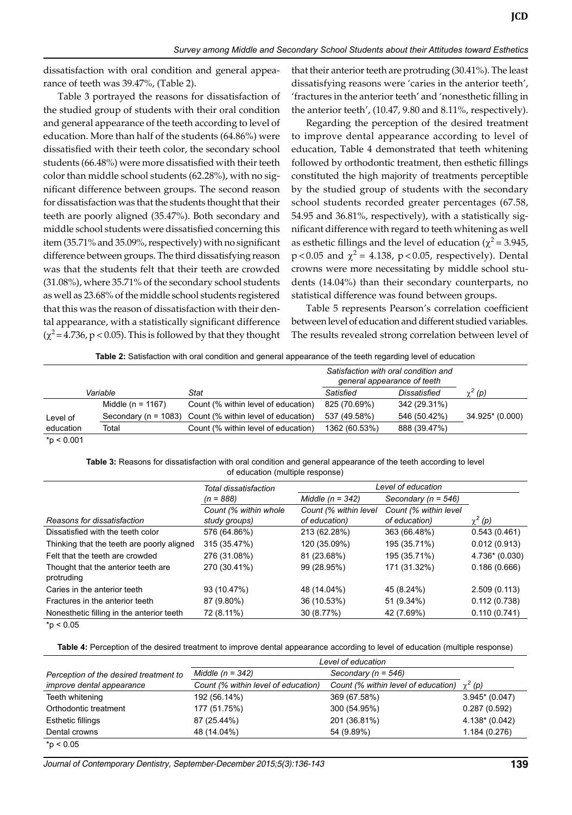dissatisfaction with oral condition and general appearance of teeth was 39.47%, (Table 2).

Table 3 portrayed the reasons for dissatisfaction of the studied group of students with their oral condition and general appearance of the teeth according to level of education. More than half of the students (64.86%) were dissatisfied with their teeth color, the secondary school students (66.48%) were more dissatisfied with their teeth color than middle school students (62.28%), with no significant difference between groups. The second reason for dissatisfaction was that the students thought that their teeth are poorly aligned (35.47%). Both secondary and middle school students were dissatisfied concerning this item (35.71% and 35.09%, respectively) with no significant difference between groups. The third dissatisfying reason was that the students felt that their teeth are crowded (31.08%), where 35.71% of the secondary school students as well as 23.68% of the middle school students registered that this was the reason of dissatisfaction with their dental appearance, with a statistically significant difference  $(\chi^2 = 4.736, p < 0.05)$ . This is followed by that they thought that their anterior teeth are protruding (30.41%). The least dissatisfying reasons were 'caries in the anterior teeth', 'fractures in the anterior teeth' and 'nonesthetic filling in the anterior teeth', (10.47, 9.80 and 8.11%, respectively).

Regarding the perception of the desired treatment to improve dental appearance according to level of education, Table 4 demonstrated that teeth whitening followed by orthodontic treatment, then esthetic fillings constituted the high majority of treatments perceptible by the studied group of students with the secondary school students recorded greater percentages (67.58, 54.95 and 36.81%, respectively), with a statistically significant difference with regard to teeth whitening as well as esthetic fillings and the level of education ( $\chi^2$  = 3.945,  $p < 0.05$  and  $\chi^2 = 4.138$ ,  $p < 0.05$ , respectively). Dental crowns were more necessitating by middle school students (14.04%) than their secondary counterparts, no statistical difference was found between groups.

Table 5 represents Pearson's correlation coefficient between level of education and different studied variables. The results revealed strong correlation between level of

**Table 2:** Satisfaction with oral condition and general appearance of the teeth regarding level of education

|               |                       | Satisfaction with oral condition and<br>general appearance of teeth |               |              |                 |  |
|---------------|-----------------------|---------------------------------------------------------------------|---------------|--------------|-----------------|--|
|               | Variable              | Stat                                                                | Satisfied     | Dissatisfied | $\chi^2(p)$     |  |
|               | Middle ( $n = 1167$ ) | Count (% within level of education)                                 | 825 (70.69%)  | 342 (29.31%) |                 |  |
| Level of      |                       | Secondary ( $n = 1083$ ) Count (% within level of education)        | 537 (49.58%)  | 546 (50.42%) | 34.925* (0.000) |  |
| education     | Total                 | Count (% within level of education)                                 | 1362 (60.53%) | 888 (39.47%) |                 |  |
| $*$ p < 0.001 |                       |                                                                     |               |              |                 |  |

**Table 3:** Reasons for dissatisfaction with oral condition and general appearance of the teeth according to level of education (multiple response)

|                                                   | Total dissatisfaction                  | Level of education                     |                                        |                |  |  |  |
|---------------------------------------------------|----------------------------------------|----------------------------------------|----------------------------------------|----------------|--|--|--|
|                                                   | $(n = 888)$                            | Middle $(n = 342)$                     | Secondary ( $n = 546$ )                |                |  |  |  |
| Reasons for dissatisfaction                       | Count (% within whole<br>study groups) | Count (% within level<br>of education) | Count (% within level<br>of education) | $\chi^2(p)$    |  |  |  |
| Dissatisfied with the teeth color                 | 576 (64.86%)                           | 213 (62.28%)                           | 363 (66.48%)                           | 0.543(0.461)   |  |  |  |
| Thinking that the teeth are poorly aligned        | 315 (35.47%)                           | 120 (35.09%)                           | 195 (35.71%)                           | 0.012(0.913)   |  |  |  |
| Felt that the teeth are crowded                   | 276 (31.08%)                           | 81 (23.68%)                            | 195 (35.71%)                           | 4.736* (0.030) |  |  |  |
| Thought that the anterior teeth are<br>protruding | 270 (30.41%)                           | 99 (28.95%)                            | 171 (31.32%)                           | 0.186(0.666)   |  |  |  |
| Caries in the anterior teeth                      | 93 (10.47%)                            | 48 (14.04%)                            | 45 (8.24%)                             | 2.509(0.113)   |  |  |  |
| Fractures in the anterior teeth                   | 87 (9.80%)                             | 36 (10.53%)                            | 51 (9.34%)                             | 0.112(0.738)   |  |  |  |
| Nonesthetic filling in the anterior teeth         | 72 (8.11%)                             | 30 (8.77%)                             | 42 (7.69%)                             | 0.110(0.741)   |  |  |  |

 $*p < 0.05$ 

**Table 4:** Perception of the desired treatment to improve dental appearance according to level of education (multiple response)

|                                        | Level of education                  |                                     |                              |
|----------------------------------------|-------------------------------------|-------------------------------------|------------------------------|
| Perception of the desired treatment to | Middle $(n = 342)$                  | Secondary ( $n = 546$ )             |                              |
| <i>improve dental appearance</i>       | Count (% within level of education) | Count (% within level of education) | $\chi^2(p)$                  |
| Teeth whitening                        | 192 (56.14%)                        | 369 (67.58%)                        | $3.945$ <sup>*</sup> (0.047) |
| Orthodontic treatment                  | 177 (51.75%)                        | 300 (54.95%)                        | 0.287(0.592)                 |
| <b>Esthetic fillings</b>               | 87 (25.44%)                         | 201 (36.81%)                        | 4.138* (0.042)               |
| Dental crowns                          | 48 (14.04%)                         | 54 (9.89%)                          | 1.184 (0.276)                |
| $*$ p < 0.05                           |                                     |                                     |                              |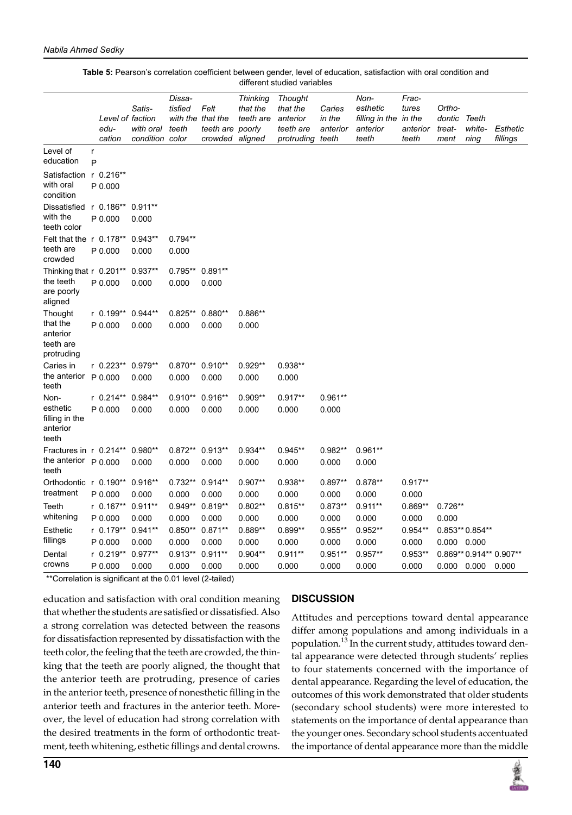|                                                 |        | Level of faction<br>edu-<br>cation | Satis-<br>with oral<br>condition color | Dissa-<br>tisfied<br>teeth | Felt<br>with the that the<br>teeth are poorly<br>crowded aligned | <b>Thinking</b><br>that the<br>teeth are | <b>Thought</b><br>that the<br>anterior<br>teeth are<br>protruding | Caries<br>in the<br>anterior<br>teeth | Non-<br>esthetic<br>filling in the in the<br>anterior<br>teeth | Frac-<br>tures<br>anterior<br>teeth | Ortho-<br>dontic<br>treat-<br>ment | Teeth<br>white-<br>ning | <b>Esthetic</b><br>fillings |
|-------------------------------------------------|--------|------------------------------------|----------------------------------------|----------------------------|------------------------------------------------------------------|------------------------------------------|-------------------------------------------------------------------|---------------------------------------|----------------------------------------------------------------|-------------------------------------|------------------------------------|-------------------------|-----------------------------|
| Level of<br>education                           | r<br>P |                                    |                                        |                            |                                                                  |                                          |                                                                   |                                       |                                                                |                                     |                                    |                         |                             |
| Satisfaction<br>with oral<br>condition          |        | $r 0.216**$<br>P 0.000             |                                        |                            |                                                                  |                                          |                                                                   |                                       |                                                                |                                     |                                    |                         |                             |
| Dissatisfied<br>with the<br>teeth color         |        | $r$ 0.186**<br>P 0.000             | $0.911**$<br>0.000                     |                            |                                                                  |                                          |                                                                   |                                       |                                                                |                                     |                                    |                         |                             |
| Felt that the r 0.178**                         |        |                                    | $0.943**$                              | $0.794**$                  |                                                                  |                                          |                                                                   |                                       |                                                                |                                     |                                    |                         |                             |
| teeth are<br>crowded                            |        | P 0.000                            | 0.000                                  | 0.000                      |                                                                  |                                          |                                                                   |                                       |                                                                |                                     |                                    |                         |                             |
| Thinking that r 0.201**                         |        |                                    | $0.937**$                              | $0.795**$                  | $0.891**$                                                        |                                          |                                                                   |                                       |                                                                |                                     |                                    |                         |                             |
| the teeth<br>are poorly<br>aligned              |        | P 0.000                            | 0.000                                  | 0.000                      | 0.000                                                            |                                          |                                                                   |                                       |                                                                |                                     |                                    |                         |                             |
| Thought                                         |        | r 0.199**                          | $0.944**$                              | $0.825**$                  | $0.880**$                                                        | $0.886**$                                |                                                                   |                                       |                                                                |                                     |                                    |                         |                             |
| that the<br>anterior<br>teeth are<br>protruding |        | P 0.000                            | 0.000                                  | 0.000                      | 0.000                                                            | 0.000                                    |                                                                   |                                       |                                                                |                                     |                                    |                         |                             |
| Caries in                                       |        | $r 0.223**$                        | $0.979**$                              | $0.870**$                  | $0.910**$                                                        | $0.929**$                                | 0.938**                                                           |                                       |                                                                |                                     |                                    |                         |                             |
| the anterior<br>teeth                           |        | P 0.000                            | 0.000                                  | 0.000                      | 0.000                                                            | 0.000                                    | 0.000                                                             |                                       |                                                                |                                     |                                    |                         |                             |
| Non-                                            |        | $r 0.214***$                       | $0.984**$                              | $0.910**$                  | $0.916**$                                                        | $0.909**$                                | $0.917**$                                                         | $0.961**$                             |                                                                |                                     |                                    |                         |                             |
| esthetic<br>filling in the<br>anterior<br>teeth |        | P 0.000                            | 0.000                                  | 0.000                      | 0.000                                                            | 0.000                                    | 0.000                                                             | 0.000                                 |                                                                |                                     |                                    |                         |                             |
| Fractures in r 0.214**                          |        |                                    | $0.980**$                              | 0.872** 0.913**            |                                                                  | $0.934**$                                | $0.945**$                                                         | 0.982**                               | $0.961**$                                                      |                                     |                                    |                         |                             |
| the anterior $p_{0.000}$<br>teeth               |        |                                    | 0.000                                  | 0.000                      | 0.000                                                            | 0.000                                    | 0.000                                                             | 0.000                                 | 0.000                                                          |                                     |                                    |                         |                             |
| Orthodontic r 0.190**                           |        |                                    | $0.916**$                              | $0.732**$                  | $0.914**$                                                        | $0.907**$                                | 0.938**                                                           | $0.897**$                             | $0.878**$                                                      | $0.917**$                           |                                    |                         |                             |
| treatment                                       |        | P 0.000                            | 0.000                                  | 0.000                      | 0.000                                                            | 0.000                                    | 0.000                                                             | 0.000                                 | 0.000                                                          | 0.000                               |                                    |                         |                             |
| Teeth                                           |        | $r 0.167**$                        | $0.911**$                              | $0.949**$                  | $0.819**$                                                        | $0.802**$                                | $0.815**$                                                         | $0.873**$                             | $0.911**$                                                      | $0.869**$                           | $0.726**$                          |                         |                             |
| whitening                                       |        | P 0.000                            | 0.000                                  | 0.000                      | 0.000                                                            | 0.000                                    | 0.000                                                             | 0.000                                 | 0.000                                                          | 0.000                               | 0.000                              |                         |                             |
| Esthetic                                        |        | $r 0.179**$                        | $0.941**$                              | $0.850**$                  | $0.871**$                                                        | $0.889**$                                | $0.899**$                                                         | $0.955**$                             | $0.952**$                                                      | $0.954**$                           |                                    | 0.853** 0.854**         |                             |
| fillings                                        |        | P 0.000                            | 0.000                                  | 0.000                      | 0.000                                                            | 0.000                                    | 0.000                                                             | 0.000                                 | 0.000                                                          | 0.000                               | 0.000 0.000                        |                         |                             |
| Dental                                          |        | $r 0.219**$                        | $0.977**$                              | $0.913**$                  | $0.911**$                                                        | $0.904**$                                | $0.911**$                                                         | $0.951**$                             | $0.957**$                                                      | $0.953**$                           |                                    |                         | 0.869** 0.914** 0.907**     |
| crowns                                          |        | P 0.000                            | 0.000                                  | 0.000                      | 0.000                                                            | 0.000                                    | 0.000                                                             | 0.000                                 | 0.000                                                          | 0.000                               | 0.000                              | 0.000                   | 0.000                       |

**Table 5:** Pearson's correlation coefficient between gender, level of education, satisfaction with oral condition and different studied variables

\*\*Correlation is significant at the 0.01 level (2-tailed)

education and satisfaction with oral condition meaning that whether the students are satisfied or dissatisfied. Also a strong correlation was detected between the reasons for dissatisfaction represented by dissatisfaction with the teeth color, the feeling that the teeth are crowded, the thinking that the teeth are poorly aligned, the thought that the anterior teeth are protruding, presence of caries in the anterior teeth, presence of nonesthetic filling in the anterior teeth and fractures in the anterior teeth. Moreover, the level of education had strong correlation with the desired treatments in the form of orthodontic treatment, teeth whitening, esthetic fillings and dental crowns.

# **Discussion**

Attitudes and perceptions toward dental appearance differ among populations and among individuals in a population.<sup>13</sup> In the current study, attitudes toward dental appearance were detected through students' replies to four statements concerned with the importance of dental appearance. Regarding the level of education, the outcomes of this work demonstrated that older students (secondary school students) were more interested to statements on the importance of dental appearance than the younger ones. Secondary school students accentuated the importance of dental appearance more than the middle

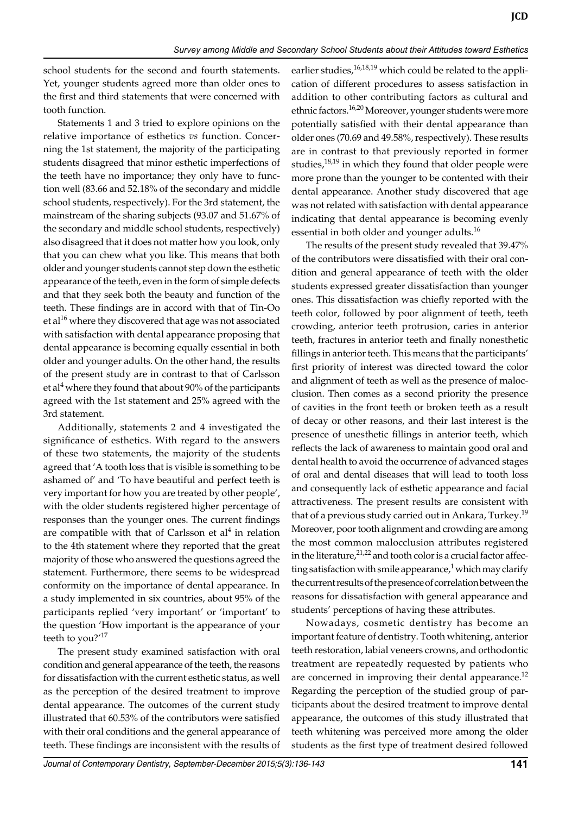school students for the second and fourth statements. Yet, younger students agreed more than older ones to the first and third statements that were concerned with tooth function.

Statements 1 and 3 tried to explore opinions on the relative importance of esthetics *vs* function. Concerning the 1st statement, the majority of the participating students disagreed that minor esthetic imperfections of the teeth have no importance; they only have to function well (83.66 and 52.18% of the secondary and middle school students, respectively). For the 3rd statement, the mainstream of the sharing subjects (93.07 and 51.67% of the secondary and middle school students, respectively) also disagreed that it does not matter how you look, only that you can chew what you like. This means that both older and younger students cannot step down the esthetic appearance of the teeth, even in the form of simple defects and that they seek both the beauty and function of the teeth. These findings are in accord with that of Tin-Oo et al $16$  where they discovered that age was not associated with satisfaction with dental appearance proposing that dental appearance is becoming equally essential in both older and younger adults. On the other hand, the results of the present study are in contrast to that of Carlsson et al<sup>4</sup> where they found that about 90% of the participants agreed with the 1st statement and 25% agreed with the 3rd statement.

Additionally, statements 2 and 4 investigated the significance of esthetics. With regard to the answers of these two statements, the majority of the students agreed that 'A tooth loss that is visible is something to be ashamed of' and 'To have beautiful and perfect teeth is very important for how you are treated by other people', with the older students registered higher percentage of responses than the younger ones. The current findings are compatible with that of Carlsson et  $al<sup>4</sup>$  in relation to the 4th statement where they reported that the great majority of those who answered the questions agreed the statement. Furthermore, there seems to be widespread conformity on the importance of dental appearance. In a study implemented in six countries, about 95% of the participants replied 'very important' or 'important' to the question 'How important is the appearance of your teeth to you? $17$ 

The present study examined satisfaction with oral condition and general appearance of the teeth, the reasons for dissatisfaction with the current esthetic status, as well as the perception of the desired treatment to improve dental appearance. The outcomes of the current study illustrated that 60.53% of the contributors were satisfied with their oral conditions and the general appearance of teeth. These findings are inconsistent with the results of earlier studies,<sup>16,18,19</sup> which could be related to the application of different procedures to assess satisfaction in addition to other contributing factors as cultural and ethnic factors.<sup>16,20</sup> Moreover, younger students were more potentially satisfied with their dental appearance than older ones (70.69 and 49.58%, respectively). These results are in contrast to that previously reported in former studies, $18,19$  in which they found that older people were more prone than the younger to be contented with their dental appearance. Another study discovered that age was not related with satisfaction with dental appearance indicating that dental appearance is becoming evenly essential in both older and younger adults.<sup>16</sup>

The results of the present study revealed that 39.47% of the contributors were dissatisfied with their oral condition and general appearance of teeth with the older students expressed greater dissatisfaction than younger ones. This dissatisfaction was chiefly reported with the teeth color, followed by poor alignment of teeth, teeth crowding, anterior teeth protrusion, caries in anterior teeth, fractures in anterior teeth and finally nonesthetic fillings in anterior teeth. This means that the participants' first priority of interest was directed toward the color and alignment of teeth as well as the presence of malocclusion. Then comes as a second priority the presence of cavities in the front teeth or broken teeth as a result of decay or other reasons, and their last interest is the presence of unesthetic fillings in anterior teeth, which reflects the lack of awareness to maintain good oral and dental health to avoid the occurrence of advanced stages of oral and dental diseases that will lead to tooth loss and consequently lack of esthetic appearance and facial attractiveness. The present results are consistent with that of a previous study carried out in Ankara, Turkey.<sup>19</sup> Moreover, poor tooth alignment and crowding are among the most common malocclusion attributes registered in the literature, $2^{1,22}$  and tooth color is a crucial factor affecting satisfaction with smile appearance, $^1$  which may clarify the current results of the presence of correlation between the reasons for dissatisfaction with general appearance and students' perceptions of having these attributes.

Nowadays, cosmetic dentistry has become an important feature of dentistry. Tooth whitening, anterior teeth restoration, labial veneers crowns, and orthodontic treatment are repeatedly requested by patients who are concerned in improving their dental appearance.<sup>12</sup> Regarding the perception of the studied group of participants about the desired treatment to improve dental appearance, the outcomes of this study illustrated that teeth whitening was perceived more among the older students as the first type of treatment desired followed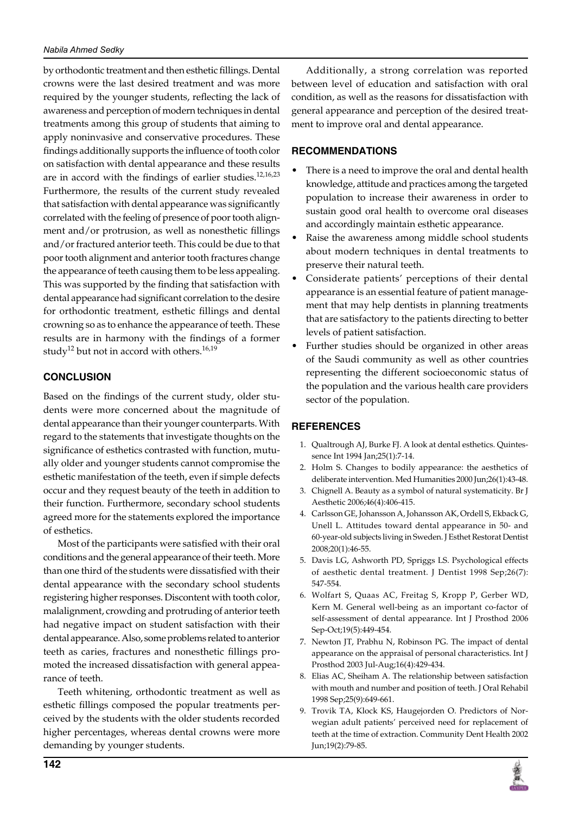by orthodontic treatment and then esthetic fillings. Dental crowns were the last desired treatment and was more required by the younger students, reflecting the lack of awareness and perception of modern techniques in dental treatments among this group of students that aiming to apply noninvasive and conservative procedures. These findings additionally supports the influence of tooth color on satisfaction with dental appearance and these results are in accord with the findings of earlier studies.<sup>12,16,23</sup> Furthermore, the results of the current study revealed that satisfaction with dental appearance was significantly correlated with the feeling of presence of poor tooth alignment and/or protrusion, as well as nonesthetic fillings and/or fractured anterior teeth. This could be due to that poor tooth alignment and anterior tooth fractures change the appearance of teeth causing them to be less appealing. This was supported by the finding that satisfaction with dental appearance had significant correlation to the desire for orthodontic treatment, esthetic fillings and dental crowning so as to enhance the appearance of teeth. These results are in harmony with the findings of a former study<sup>12</sup> but not in accord with others.<sup>16,19</sup>

# **Conclusion**

Based on the findings of the current study, older students were more concerned about the magnitude of dental appearance than their younger counterparts. With regard to the statements that investigate thoughts on the significance of esthetics contrasted with function, mutually older and younger students cannot compromise the esthetic manifestation of the teeth, even if simple defects occur and they request beauty of the teeth in addition to their function. Furthermore, secondary school students agreed more for the statements explored the importance of esthetics.

Most of the participants were satisfied with their oral conditions and the general appearance of their teeth. More than one third of the students were dissatisfied with their dental appearance with the secondary school students registering higher responses. Discontent with tooth color, malalignment, crowding and protruding of anterior teeth had negative impact on student satisfaction with their dental appearance. Also, some problems related to anterior teeth as caries, fractures and nonesthetic fillings promoted the increased dissatisfaction with general appearance of teeth.

Teeth whitening, orthodontic treatment as well as esthetic fillings composed the popular treatments perceived by the students with the older students recorded higher percentages, whereas dental crowns were more demanding by younger students.

Additionally, a strong correlation was reported between level of education and satisfaction with oral condition, as well as the reasons for dissatisfaction with general appearance and perception of the desired treatment to improve oral and dental appearance.

# **Recommendations**

- There is a need to improve the oral and dental health knowledge, attitude and practices among the targeted population to increase their awareness in order to sustain good oral health to overcome oral diseases and accordingly maintain esthetic appearance.
- Raise the awareness among middle school students about modern techniques in dental treatments to preserve their natural teeth.
- Considerate patients' perceptions of their dental appearance is an essential feature of patient management that may help dentists in planning treatments that are satisfactory to the patients directing to better levels of patient satisfaction.
- Further studies should be organized in other areas of the Saudi community as well as other countries representing the different socioeconomic status of the population and the various health care providers sector of the population.

# **References**

- 1. Qualtrough AJ, Burke FJ. A look at dental esthetics. Quintessence Int 1994 Jan;25(1):7-14.
- 2. Holm S. Changes to bodily appearance: the aesthetics of deliberate intervention. Med Humanities 2000 Jun;26(1):43-48.
- 3. Chignell A. Beauty as a symbol of natural systematicity. Br J Aesthetic 2006;46(4):406-415.
- 4. Carlsson GE, Johansson A, Johansson AK, Ordell S, Ekback G, Unell L. Attitudes toward dental appearance in 50- and 60-year-old subjects living in Sweden. J Esthet Restorat Dentist 2008;20(1):46-55.
- 5. Davis LG, Ashworth PD, Spriggs LS. Psychological effects of aesthetic dental treatment. J Dentist 1998 Sep;26(7): 547-554.
- 6. Wolfart S, Quaas AC, Freitag S, Kropp P, Gerber WD, Kern M. General well-being as an important co-factor of self-assessment of dental appearance. Int J Prosthod 2006 Sep-Oct;19(5):449-454.
- 7. Newton JT, Prabhu N, Robinson PG. The impact of dental appearance on the appraisal of personal characteristics. Int J Prosthod 2003 Jul-Aug;16(4):429-434.
- 8. Elias AC, Sheiham A. The relationship between satisfaction with mouth and number and position of teeth. J Oral Rehabil 1998 Sep;25(9):649-661.
- 9. Trovik TA, Klock KS, Haugejorden O. Predictors of Norwegian adult patients' perceived need for replacement of teeth at the time of extraction. Community Dent Health 2002 Jun;19(2):79-85.